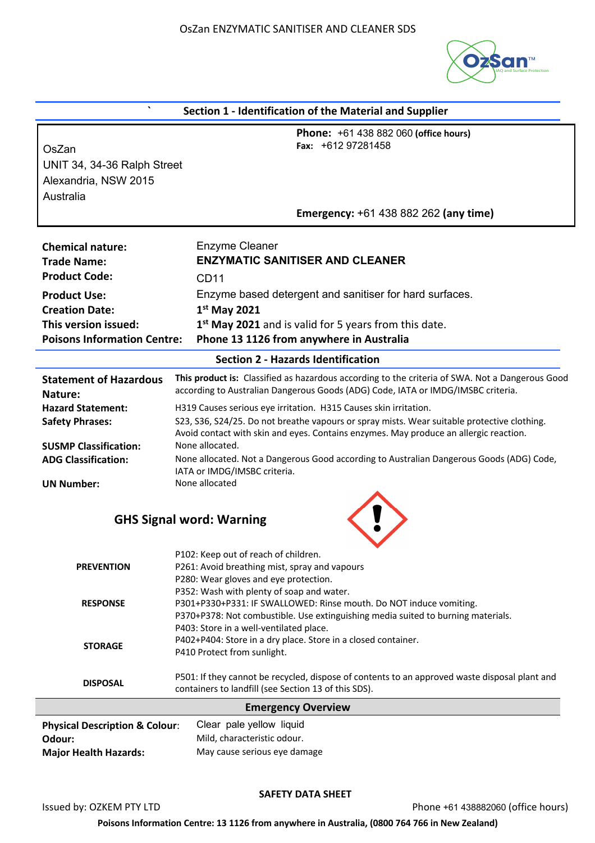

| Section 1 - Identification of the Material and Supplier      |                                                                                                                                                                                     |  |
|--------------------------------------------------------------|-------------------------------------------------------------------------------------------------------------------------------------------------------------------------------------|--|
| OsZan<br>UNIT 34, 34-36 Ralph Street<br>Alexandria, NSW 2015 | <b>Phone: +61 438 882 060 (office hours)</b><br>Fax: $+61297281458$                                                                                                                 |  |
| Australia                                                    | <b>Emergency: +61 438 882 262 (any time)</b>                                                                                                                                        |  |
|                                                              | <b>Enzyme Cleaner</b>                                                                                                                                                               |  |
| <b>Chemical nature:</b><br><b>Trade Name:</b>                | <b>ENZYMATIC SANITISER AND CLEANER</b>                                                                                                                                              |  |
| <b>Product Code:</b>                                         |                                                                                                                                                                                     |  |
|                                                              | <b>CD11</b>                                                                                                                                                                         |  |
| <b>Product Use:</b>                                          | Enzyme based detergent and sanitiser for hard surfaces.                                                                                                                             |  |
| <b>Creation Date:</b>                                        | $1st$ May 2021                                                                                                                                                                      |  |
| This version issued:                                         | 1 <sup>st</sup> May 2021 and is valid for 5 years from this date.                                                                                                                   |  |
| <b>Poisons Information Centre:</b>                           | Phone 13 1126 from anywhere in Australia                                                                                                                                            |  |
|                                                              | <b>Section 2 - Hazards Identification</b>                                                                                                                                           |  |
| <b>Statement of Hazardous</b><br>Nature:                     | This product is: Classified as hazardous according to the criteria of SWA. Not a Dangerous Good<br>according to Australian Dangerous Goods (ADG) Code, IATA or IMDG/IMSBC criteria. |  |
| <b>Hazard Statement:</b>                                     | H319 Causes serious eye irritation. H315 Causes skin irritation.                                                                                                                    |  |
| <b>Safety Phrases:</b>                                       | S23, S36, S24/25. Do not breathe vapours or spray mists. Wear suitable protective clothing.                                                                                         |  |
|                                                              | Avoid contact with skin and eyes. Contains enzymes. May produce an allergic reaction.                                                                                               |  |
| <b>SUSMP Classification:</b><br><b>ADG Classification:</b>   | None allocated.<br>None allocated. Not a Dangerous Good according to Australian Dangerous Goods (ADG) Code,                                                                         |  |
|                                                              | IATA or IMDG/IMSBC criteria.                                                                                                                                                        |  |
| <b>UN Number:</b>                                            | None allocated                                                                                                                                                                      |  |
|                                                              |                                                                                                                                                                                     |  |
|                                                              | <b>GHS Signal word: Warning</b>                                                                                                                                                     |  |
|                                                              |                                                                                                                                                                                     |  |
|                                                              | P102: Keep out of reach of children.                                                                                                                                                |  |
| <b>PREVENTION</b>                                            | P261: Avoid breathing mist, spray and vapours                                                                                                                                       |  |
|                                                              | P280: Wear gloves and eye protection.                                                                                                                                               |  |
|                                                              | P352: Wash with plenty of soap and water.                                                                                                                                           |  |
| <b>RESPONSE</b>                                              | P301+P330+P331: IF SWALLOWED: Rinse mouth. Do NOT induce vomiting.                                                                                                                  |  |
|                                                              | P370+P378: Not combustible. Use extinguishing media suited to burning materials.<br>P403: Store in a well-ventilated place.                                                         |  |
|                                                              | P402+P404: Store in a dry place. Store in a closed container.                                                                                                                       |  |
| <b>STORAGE</b>                                               | P410 Protect from sunlight.                                                                                                                                                         |  |
| <b>DISPOSAL</b>                                              | P501: If they cannot be recycled, dispose of contents to an approved waste disposal plant and                                                                                       |  |
|                                                              | containers to landfill (see Section 13 of this SDS).                                                                                                                                |  |
|                                                              | <b>Emergency Overview</b>                                                                                                                                                           |  |
| <b>Physical Description &amp; Colour:</b>                    | Clear pale yellow liquid                                                                                                                                                            |  |
| Odour:                                                       | Mild, characteristic odour.                                                                                                                                                         |  |
| <b>Major Health Hazards:</b>                                 | May cause serious eye damage                                                                                                                                                        |  |

## **SAFETY DATA SHEET**

Issued by: OZKEM PTY LTD **Phone +61 438882060** (office hours)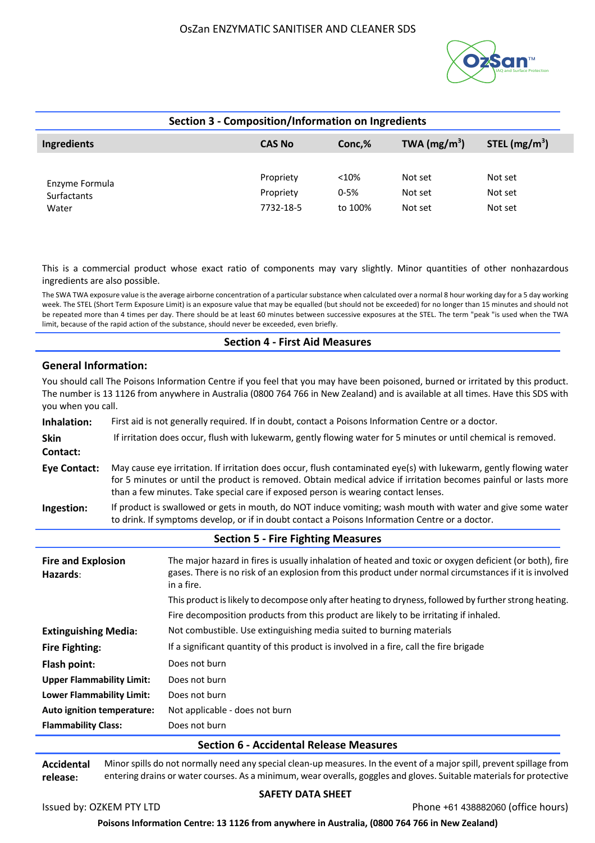

| <b>Section 3 - Composition/Information on Ingredients</b> |                                     |                              |                               |                               |
|-----------------------------------------------------------|-------------------------------------|------------------------------|-------------------------------|-------------------------------|
| Ingredients                                               | <b>CAS No</b>                       | Conc,%                       | TWA $(mg/m^3)$                | STEL $(mg/m3)$                |
| Enzyme Formula<br>Surfactants<br>Water                    | Propriety<br>Propriety<br>7732-18-5 | < 10%<br>$0 - 5%$<br>to 100% | Not set<br>Not set<br>Not set | Not set<br>Not set<br>Not set |

This is a commercial product whose exact ratio of components may vary slightly. Minor quantities of other nonhazardous ingredients are also possible.

The SWA TWA exposure value is the average airborne concentration of a particular substance when calculated over a normal 8 hour working day for a 5 day working week. The STEL (Short Term Exposure Limit) is an exposure value that may be equalled (but should not be exceeded) for no longer than 15 minutes and should not be repeated more than 4 times per day. There should be at least 60 minutes between successive exposures at the STEL. The term "peak "is used when the TWA limit, because of the rapid action of the substance, should never be exceeded, even briefly.

## **Section 4 - First Aid Measures**

## **General Information:**

You should call The Poisons Information Centre if you feel that you may have been poisoned, burned or irritated by this product. The number is 13 1126 from anywhere in Australia (0800 764 766 in New Zealand) and is available at all times. Have this SDS with you when you call.

| Inhalation:         | First aid is not generally required. If in doubt, contact a Poisons Information Centre or a doctor.                                                                                                                                                                                                                         |
|---------------------|-----------------------------------------------------------------------------------------------------------------------------------------------------------------------------------------------------------------------------------------------------------------------------------------------------------------------------|
| <b>Skin</b>         | If irritation does occur, flush with lukewarm, gently flowing water for 5 minutes or until chemical is removed.                                                                                                                                                                                                             |
| Contact:            |                                                                                                                                                                                                                                                                                                                             |
| <b>Eye Contact:</b> | May cause eye irritation. If irritation does occur, flush contaminated eye(s) with lukewarm, gently flowing water<br>for 5 minutes or until the product is removed. Obtain medical advice if irritation becomes painful or lasts more<br>than a few minutes. Take special care if exposed person is wearing contact lenses. |
| Ingestion:          | If product is swallowed or gets in mouth, do NOT induce vomiting; wash mouth with water and give some water<br>to drink. If symptoms develop, or if in doubt contact a Poisons Information Centre or a doctor.                                                                                                              |

## **Section 5 - Fire Fighting Measures**

| <b>Fire and Explosion</b><br>Hazards: | The major hazard in fires is usually inhalation of heated and toxic or oxygen deficient (or both), fire<br>gases. There is no risk of an explosion from this product under normal circumstances if it is involved<br>in a fire. |
|---------------------------------------|---------------------------------------------------------------------------------------------------------------------------------------------------------------------------------------------------------------------------------|
|                                       | This product is likely to decompose only after heating to dryness, followed by further strong heating.                                                                                                                          |
|                                       | Fire decomposition products from this product are likely to be irritating if inhaled.                                                                                                                                           |
| <b>Extinguishing Media:</b>           | Not combustible. Use extinguishing media suited to burning materials                                                                                                                                                            |
| <b>Fire Fighting:</b>                 | If a significant quantity of this product is involved in a fire, call the fire brigade                                                                                                                                          |
| Flash point:                          | Does not burn                                                                                                                                                                                                                   |
| <b>Upper Flammability Limit:</b>      | Does not burn                                                                                                                                                                                                                   |
| Lower Flammability Limit:             | Does not burn                                                                                                                                                                                                                   |
| Auto ignition temperature:            | Not applicable - does not burn                                                                                                                                                                                                  |
| <b>Flammability Class:</b>            | Does not burn                                                                                                                                                                                                                   |

## **Section 6 - Accidental Release Measures**

**Accidental release:** Minor spills do not normally need any special clean-up measures. In the event of a major spill, prevent spillage from entering drains or water courses. As a minimum, wear overalls, goggles and gloves. Suitable materials for protective

## **SAFETY DATA SHEET**

Issued by: OZKEM PTY LTD **Phone +61 438882060 (office hours)** Phone +61 438882060 (office hours)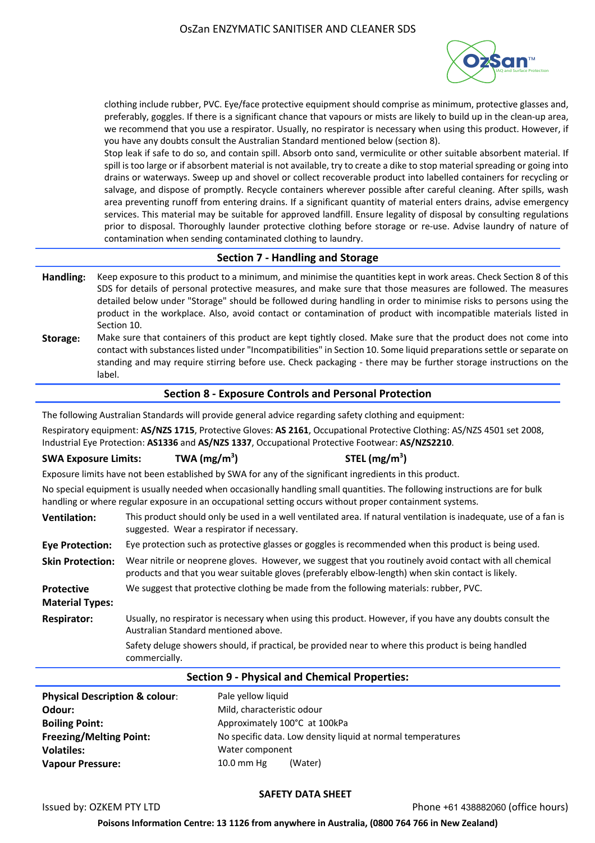

clothing include rubber, PVC. Eye/face protective equipment should comprise as minimum, protective glasses and, preferably, goggles. If there is a significant chance that vapours or mists are likely to build up in the clean-up area, we recommend that you use a respirator. Usually, no respirator is necessary when using this product. However, if you have any doubts consult the Australian Standard mentioned below (section 8).

Stop leak if safe to do so, and contain spill. Absorb onto sand, vermiculite or other suitable absorbent material. If spill is too large or if absorbent material is not available, try to create a dike to stop material spreading or going into drains or waterways. Sweep up and shovel or collect recoverable product into labelled containers for recycling or salvage, and dispose of promptly. Recycle containers wherever possible after careful cleaning. After spills, wash area preventing runoff from entering drains. If a significant quantity of material enters drains, advise emergency services. This material may be suitable for approved landfill. Ensure legality of disposal by consulting regulations prior to disposal. Thoroughly launder protective clothing before storage or re-use. Advise laundry of nature of contamination when sending contaminated clothing to laundry.

## **Section 7 - Handling and Storage**

- **Handling:** Keep exposure to this product to a minimum, and minimise the quantities kept in work areas. Check Section 8 of this SDS for details of personal protective measures, and make sure that those measures are followed. The measures detailed below under "Storage" should be followed during handling in order to minimise risks to persons using the product in the workplace. Also, avoid contact or contamination of product with incompatible materials listed in Section 10.
- **Storage:** Make sure that containers of this product are kept tightly closed. Make sure that the product does not come into contact with substances listed under "Incompatibilities" in Section 10. Some liquid preparations settle or separate on standing and may require stirring before use. Check packaging - there may be further storage instructions on the label.

# **Section 8 - Exposure Controls and Personal Protection**

The following Australian Standards will provide general advice regarding safety clothing and equipment:

Respiratory equipment: **AS/NZS 1715**, Protective Gloves: **AS 2161**, Occupational Protective Clothing: AS/NZS 4501 set 2008, Industrial Eye Protection: **AS1336** and **AS/NZS 1337**, Occupational Protective Footwear: **AS/NZS2210**.

#### **SWA Exposure Limits: TWA (mg/m3 ) STEL (mg/m3 )**

Exposure limits have not been established by SWA for any of the significant ingredients in this product.

No special equipment is usually needed when occasionally handling small quantities. The following instructions are for bulk handling or where regular exposure in an occupational setting occurs without proper containment systems.

| <b>Ventilation:</b>                         | This product should only be used in a well ventilated area. If natural ventilation is inadequate, use of a fan is<br>suggested. Wear a respirator if necessary.                                              |
|---------------------------------------------|--------------------------------------------------------------------------------------------------------------------------------------------------------------------------------------------------------------|
| <b>Eye Protection:</b>                      | Eye protection such as protective glasses or goggles is recommended when this product is being used.                                                                                                         |
| <b>Skin Protection:</b>                     | Wear nitrile or neoprene gloves. However, we suggest that you routinely avoid contact with all chemical<br>products and that you wear suitable gloves (preferably elbow-length) when skin contact is likely. |
| <b>Protective</b><br><b>Material Types:</b> | We suggest that protective clothing be made from the following materials: rubber, PVC.                                                                                                                       |
| <b>Respirator:</b>                          | Usually, no respirator is necessary when using this product. However, if you have any doubts consult the<br>Australian Standard mentioned above.                                                             |
|                                             | Safety deluge showers should, if practical, be provided near to where this product is being handled<br>commercially.                                                                                         |

## **Section 9 - Physical and Chemical Properties:**

| <b>Physical Description &amp; colour:</b> | Pale yellow liquid                                          |
|-------------------------------------------|-------------------------------------------------------------|
| Odour:                                    | Mild, characteristic odour                                  |
| <b>Boiling Point:</b>                     | Approximately 100°C at 100kPa                               |
| <b>Freezing/Melting Point:</b>            | No specific data. Low density liquid at normal temperatures |
| <b>Volatiles:</b>                         | Water component                                             |
| <b>Vapour Pressure:</b>                   | $10.0$ mm Hg<br>(Water)                                     |

## **SAFETY DATA SHEET**

Issued by: OZKEM PTY LTD **Phone +61 438882060 (office hours)** Phone +61 438882060 (office hours)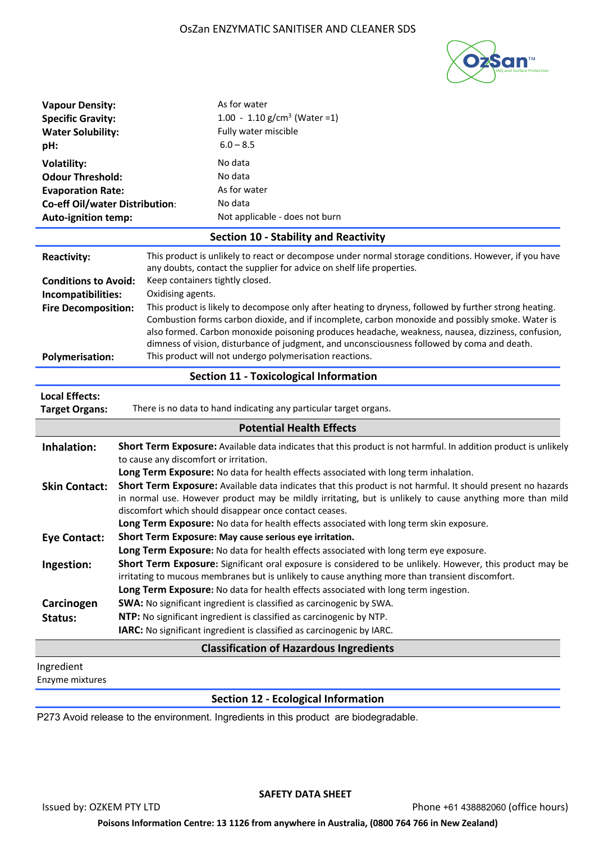

| <b>Vapour Density:</b><br><b>Specific Gravity:</b><br><b>Water Solubility:</b><br>pH:                                                            | As for water<br>1.00 - 1.10 g/cm <sup>3</sup> (Water = 1)<br>Fully water miscible<br>$6.0 - 8.5$                                                                                                                                                                                                                                                                                                                                                                                                                                                                                                                                                                                                                   |  |
|--------------------------------------------------------------------------------------------------------------------------------------------------|--------------------------------------------------------------------------------------------------------------------------------------------------------------------------------------------------------------------------------------------------------------------------------------------------------------------------------------------------------------------------------------------------------------------------------------------------------------------------------------------------------------------------------------------------------------------------------------------------------------------------------------------------------------------------------------------------------------------|--|
| <b>Volatility:</b><br><b>Odour Threshold:</b><br><b>Evaporation Rate:</b><br><b>Co-eff Oil/water Distribution:</b><br><b>Auto-ignition temp:</b> | No data<br>No data<br>As for water<br>No data<br>Not applicable - does not burn                                                                                                                                                                                                                                                                                                                                                                                                                                                                                                                                                                                                                                    |  |
|                                                                                                                                                  | <b>Section 10 - Stability and Reactivity</b>                                                                                                                                                                                                                                                                                                                                                                                                                                                                                                                                                                                                                                                                       |  |
| <b>Reactivity:</b><br><b>Conditions to Avoid:</b><br>Incompatibilities:<br><b>Fire Decomposition:</b><br><b>Polymerisation:</b>                  | This product is unlikely to react or decompose under normal storage conditions. However, if you have<br>any doubts, contact the supplier for advice on shelf life properties.<br>Keep containers tightly closed.<br>Oxidising agents.<br>This product is likely to decompose only after heating to dryness, followed by further strong heating.<br>Combustion forms carbon dioxide, and if incomplete, carbon monoxide and possibly smoke. Water is<br>also formed. Carbon monoxide poisoning produces headache, weakness, nausea, dizziness, confusion,<br>dimness of vision, disturbance of judgment, and unconsciousness followed by coma and death.<br>This product will not undergo polymerisation reactions. |  |
|                                                                                                                                                  | <b>Section 11 - Toxicological Information</b>                                                                                                                                                                                                                                                                                                                                                                                                                                                                                                                                                                                                                                                                      |  |
| <b>Local Effects:</b><br><b>Target Organs:</b>                                                                                                   | There is no data to hand indicating any particular target organs.                                                                                                                                                                                                                                                                                                                                                                                                                                                                                                                                                                                                                                                  |  |
|                                                                                                                                                  | <b>Potential Health Effects</b>                                                                                                                                                                                                                                                                                                                                                                                                                                                                                                                                                                                                                                                                                    |  |
| Inhalation:                                                                                                                                      | Short Term Exposure: Available data indicates that this product is not harmful. In addition product is unlikely<br>to cause any discomfort or irritation.<br>Long Term Exposure: No data for health effects associated with long term inhalation.                                                                                                                                                                                                                                                                                                                                                                                                                                                                  |  |
| <b>Skin Contact:</b>                                                                                                                             | Short Term Exposure: Available data indicates that this product is not harmful. It should present no hazards<br>in normal use. However product may be mildly irritating, but is unlikely to cause anything more than mild<br>discomfort which should disappear once contact ceases.<br>Long Term Exposure: No data for health effects associated with long term skin exposure.                                                                                                                                                                                                                                                                                                                                     |  |
| <b>Eye Contact:</b>                                                                                                                              | Short Term Exposure: May cause serious eye irritation.                                                                                                                                                                                                                                                                                                                                                                                                                                                                                                                                                                                                                                                             |  |
| Ingestion:                                                                                                                                       | Long Term Exposure: No data for health effects associated with long term eye exposure.<br>Short Term Exposure: Significant oral exposure is considered to be unlikely. However, this product may be<br>irritating to mucous membranes but is unlikely to cause anything more than transient discomfort.<br>Long Term Exposure: No data for health effects associated with long term ingestion.                                                                                                                                                                                                                                                                                                                     |  |
| Carcinogen<br>Status:                                                                                                                            | SWA: No significant ingredient is classified as carcinogenic by SWA.<br>NTP: No significant ingredient is classified as carcinogenic by NTP.<br>IARC: No significant ingredient is classified as carcinogenic by IARC.                                                                                                                                                                                                                                                                                                                                                                                                                                                                                             |  |
|                                                                                                                                                  | <b>Classification of Hazardous Ingredients</b>                                                                                                                                                                                                                                                                                                                                                                                                                                                                                                                                                                                                                                                                     |  |
| Ingredient<br>Enzyme mixtures                                                                                                                    |                                                                                                                                                                                                                                                                                                                                                                                                                                                                                                                                                                                                                                                                                                                    |  |
|                                                                                                                                                  | <b>Section 12 - Ecological Information</b>                                                                                                                                                                                                                                                                                                                                                                                                                                                                                                                                                                                                                                                                         |  |

P273 Avoid release to the environment. Ingredients in this product are biodegradable.

## **SAFETY DATA SHEET**

Issued by: OZKEM PTY LTD **Phone +61 438882060** (office hours)